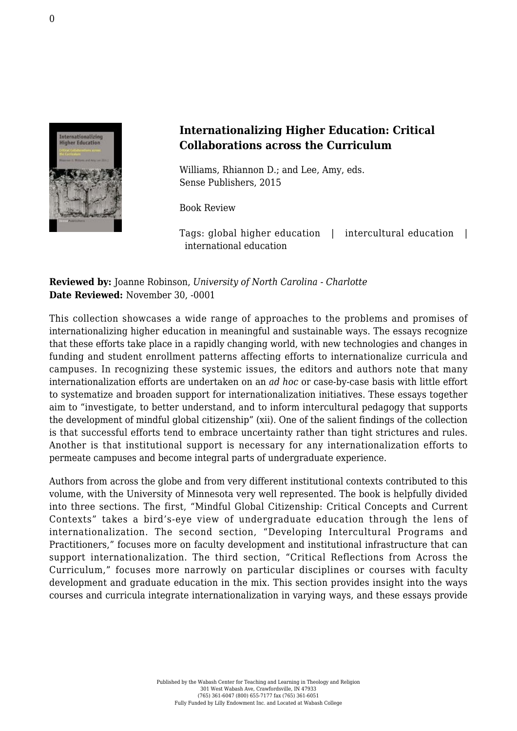

## **Internationalizing Higher Education: Critical Collaborations across the Curriculum**

Williams, Rhiannon D.; and Lee, Amy, eds. [Sense Publishers, 2015](https://www.sensepublishers.com/catalogs/bookseries/other-books/internationalizing-higher-education/)

Book Review

Tags: global higher education | intercultural education | international education

**Reviewed by:** Joanne Robinson, *University of North Carolina - Charlotte* **Date Reviewed:** November 30, -0001

This collection showcases a wide range of approaches to the problems and promises of internationalizing higher education in meaningful and sustainable ways. The essays recognize that these efforts take place in a rapidly changing world, with new technologies and changes in funding and student enrollment patterns affecting efforts to internationalize curricula and campuses. In recognizing these systemic issues, the editors and authors note that many internationalization efforts are undertaken on an *ad hoc* or case-by-case basis with little effort to systematize and broaden support for internationalization initiatives. These essays together aim to "investigate, to better understand, and to inform intercultural pedagogy that supports the development of mindful global citizenship" (xii). One of the salient findings of the collection is that successful efforts tend to embrace uncertainty rather than tight strictures and rules. Another is that institutional support is necessary for any internationalization efforts to permeate campuses and become integral parts of undergraduate experience.

Authors from across the globe and from very different institutional contexts contributed to this volume, with the University of Minnesota very well represented. The book is helpfully divided into three sections. The first, "Mindful Global Citizenship: Critical Concepts and Current Contexts" takes a bird's-eye view of undergraduate education through the lens of internationalization. The second section, "Developing Intercultural Programs and Practitioners," focuses more on faculty development and institutional infrastructure that can support internationalization. The third section, "Critical Reflections from Across the Curriculum," focuses more narrowly on particular disciplines or courses with faculty development and graduate education in the mix. This section provides insight into the ways courses and curricula integrate internationalization in varying ways, and these essays provide